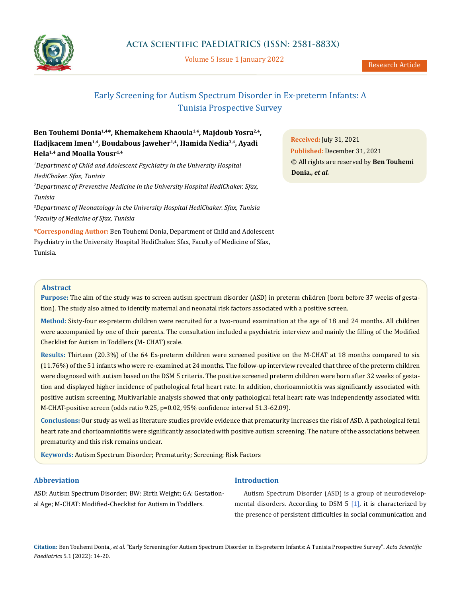

Volume 5 Issue 1 January 2022

# Early Screening for Autism Spectrum Disorder in Ex-preterm Infants: A Tunisia Prospective Survey

## **Ben Touhemi Donia1,4\*, Khemakehem Khaoula1,4, Majdoub Yosra2,4, Hadjkacem Imen1,4, Boudabous Jaweher1,4, Hamida Nedia3,4, Ayadi Hela1,4 and Moalla Yousr1,4**

*1 Department of Child and Adolescent Psychiatry in the University Hospital HediChaker. Sfax, Tunisia 2 Department of Preventive Medicine in the University Hospital HediChaker. Sfax, Tunisia*

*3 Department of Neonatology in the University Hospital HediChaker. Sfax, Tunisia 4 Faculty of Medicine of Sfax, Tunisia*

**\*Corresponding Author:** Ben Touhemi Donia, Department of Child and Adolescent Psychiatry in the University Hospital HediChaker. Sfax, Faculty of Medicine of Sfax, Tunisia.

**Received:** July 31, 2021 **Published:** December 31, 2021 © All rights are reserved by **Ben Touhemi Donia***., et al.*

## **Abstract**

**Purpose:** The aim of the study was to screen autism spectrum disorder (ASD) in preterm children (born before 37 weeks of gestation). The study also aimed to identify maternal and neonatal risk factors associated with a positive screen.

**Method:** Sixty-four ex-preterm children were recruited for a two-round examination at the age of 18 and 24 months. All children were accompanied by one of their parents. The consultation included a psychiatric interview and mainly the filling of the Modified Checklist for Autism in Toddlers (M- CHAT) scale.

**Results:** Thirteen (20.3%) of the 64 Ex-preterm children were screened positive on the M-CHAT at 18 months compared to six (11.76%) of the 51 infants who were re-examined at 24 months. The follow-up interview revealed that three of the preterm children were diagnosed with autism based on the DSM 5 criteria. The positive screened preterm children were born after 32 weeks of gestation and displayed higher incidence of pathological fetal heart rate. In addition, chorioamniotitis was significantly associated with positive autism screening. Multivariable analysis showed that only pathological fetal heart rate was independently associated with M-CHAT-positive screen (odds ratio 9.25, p=0.02, 95% confidence interval 51.3-62.09).

**Conclusions:** Our study as well as literature studies provide evidence that prematurity increases the risk of ASD. A pathological fetal heart rate and chorioamniotitis were significantly associated with positive autism screening. The nature of the associations between prematurity and this risk remains unclear.

**Keywords:** Autism Spectrum Disorder; Prematurity; Screening; Risk Factors

## **Abbreviation**

ASD: Autism Spectrum Disorder; BW: Birth Weight; GA: Gestational Age; M-CHAT: Modified-Checklist for Autism in Toddlers.

## **Introduction**

Autism Spectrum Disorder (ASD) is a group of neurodevelopmental disorders. According to DSM 5 [1], it is characterized by the presence of persistent difficulties in social communication and

**Citation:** Ben Touhemi Donia*., et al.* "Early Screening for Autism Spectrum Disorder in Ex-preterm Infants: A Tunisia Prospective Survey". *Acta Scientific Paediatrics* 5.1 (2022): 14-20.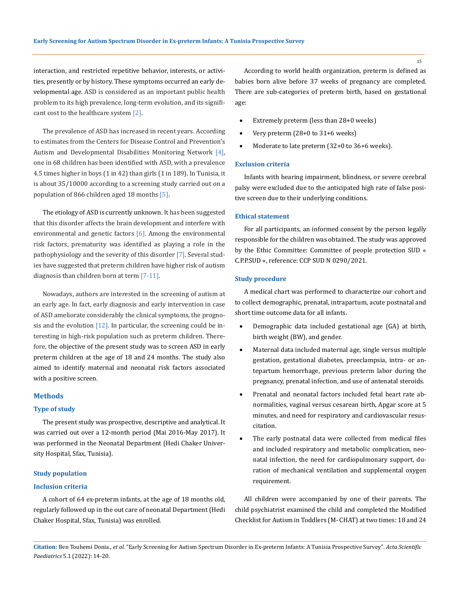interaction, and restricted repetitive behavior, interests, or activities, presently or by history. These symptoms occurred an early developmental age. ASD is considered as an important public health problem to its high prevalence, long-term evolution, and its significant cost to the healthcare system [2].

The prevalence of ASD has increased in recent years. According to estimates from the Centers for Disease Control and Prevention's Autism and Developmental Disabilities Monitoring Network [4], one in 68 children has been identified with ASD, with a prevalence 4.5 times higher in boys (1 in 42) than girls (1 in 189). In Tunisia, it is about 35/10000 according to a screening study carried out on a population of 866 children aged 18 months [5].

The etiology of ASD is currently unknown. It has been suggested that this disorder affects the brain development and interfere with environmental and genetic factors  $[6]$ . Among the environmental risk factors, prematurity was identified as playing a role in the pathophysiology and the severity of this disorder [7]. Several studies have suggested that preterm children have higher risk of autism diagnosis than children born at term [7-11].

Nowadays, authors are interested in the screening of autism at an early age. In fact, early diagnosis and early intervention in case of ASD ameliorate considerably the clinical symptoms, the prognosis and the evolution [12]. In particular, the screening could be interesting in high-risk population such as preterm children. Therefore, the objective of the present study was to screen ASD in early preterm children at the age of 18 and 24 months. The study also aimed to identify maternal and neonatal risk factors associated with a positive screen.

#### **Methods**

### **Type of study**

The present study was prospective, descriptive and analytical. It was carried out over a 12-month period (Mai 2016-May 2017). It was performed in the Neonatal Department (Hedi Chaker University Hospital, Sfax, Tunisia).

### **Study population**

#### **Inclusion criteria**

A cohort of 64 ex-preterm infants, at the age of 18 months old, regularly followed up in the out care of neonatal Department (Hedi Chaker Hospital, Sfax, Tunisia) was enrolled.

According to world health organization, preterm is defined as babies born alive before 37 weeks of pregnancy are completed. There are sub-categories of preterm birth, based on gestational age:

- Extremely preterm (less than 28+0 weeks)
- Very preterm  $(28+0)$  to  $31+6$  weeks)
- Moderate to late preterm  $(32+0)$  to  $36+6$  weeks).

## **Exclusion criteria**

Infants with hearing impairment, blindness, or severe cerebral palsy were excluded due to the anticipated high rate of false positive screen due to their underlying conditions.

## **Ethical statement**

For all participants, an informed consent by the person legally responsible for the children was obtained. The study was approved by the Ethic Committee: Committee of people protection SUD « C.P.P.SUD », reference: CCP SUD N 0290/2021.

## **Study procedure**

A medical chart was performed to characterize our cohort and to collect demographic, prenatal, intrapartum, acute postnatal and short time outcome data for all infants.

- Demographic data included gestational age (GA) at birth, birth weight (BW), and gender.
- Maternal data included maternal age, single versus multiple gestation, gestational diabetes, preeclampsia, intra- or antepartum hemorrhage, previous preterm labor during the pregnancy, prenatal infection, and use of antenatal steroids.
- • Prenatal and neonatal factors included fetal heart rate abnormalities, vaginal versus cesarean birth, Apgar score at 5 minutes, and need for respiratory and cardiovascular resuscitation.
- The early postnatal data were collected from medical files and included respiratory and metabolic complication, neonatal infection, the need for cardiopulmonary support, duration of mechanical ventilation and supplemental oxygen requirement.

All children were accompanied by one of their parents. The child psychiatrist examined the child and completed the Modified Checklist for Autism in Toddlers (M- CHAT) at two times: 18 and 24

**Citation:** Ben Touhemi Donia*., et al.* "Early Screening for Autism Spectrum Disorder in Ex-preterm Infants: A Tunisia Prospective Survey". *Acta Scientific Paediatrics* 5.1 (2022): 14-20.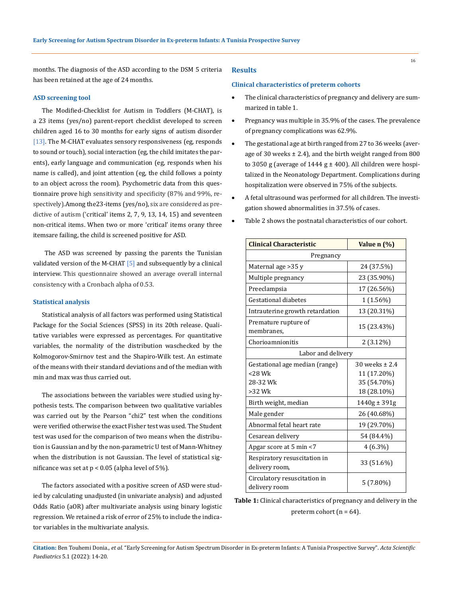months. The diagnosis of the ASD according to the DSM 5 criteria has been retained at the age of 24 months.

## **ASD screening tool**

The Modified-Checklist for Autism in Toddlers (M-CHAT), is a 23 items (yes/no) parent-report checklist developed to screen children aged 16 to 30 months for early signs of autism disorder [13]. The M-CHAT evaluates sensory responsiveness (eg, responds to sound or touch), social interaction (eg, the child imitates the parents), early language and communication (eg, responds when his name is called), and joint attention (eg, the child follows a pointy to an object across the room). Psychometric data from this questionnaire prove high sensitivity and specificity (87% and 99%, respectively).Among the23-items (yes/no), six are considered as predictive of autism ('critical' items 2, 7, 9, 13, 14, 15) and seventeen non-critical items. When two or more 'critical' items orany three itemsare failing, the child is screened positive for ASD.

 The ASD was screened by passing the parents the Tunisian validated version of the M-CHAT [5] and subsequently by a clinical interview. This questionnaire showed an average overall internal consistency with a Cronbach alpha of 0.53.

## **Statistical analysis**

Statistical analysis of all factors was performed using Statistical Package for the Social Sciences (SPSS) in its 20th release. Qualitative variables were expressed as percentages. For quantitative variables, the normality of the distribution waschecked by the Kolmogorov-Smirnov test and the Shapiro-Wilk test. An estimate of the means with their standard deviations and of the median with min and max was thus carried out.

The associations between the variables were studied using hypothesis tests. The comparison between two qualitative variables was carried out by the Pearson "chi2" test when the conditions were verified otherwise the exact Fisher test was used. The Student test was used for the comparison of two means when the distribution is Gaussian and by the non-parametric U test of Mann-Whitney when the distribution is not Gaussian. The level of statistical significance was set at  $p < 0.05$  (alpha level of 5%).

The factors associated with a positive screen of ASD were studied by calculating unadjusted (in univariate analysis) and adjusted Odds Ratio (aOR) after multivariate analysis using binary logistic regression. We retained a risk of error of 25% to include the indicator variables in the multivariate analysis.

## **Results**

#### **Clinical characteristics of preterm cohorts**

- The clinical characteristics of pregnancy and delivery are summarized in table 1.
- Pregnancy was multiple in 35.9% of the cases. The prevalence of pregnancy complications was 62.9%.
- The gestational age at birth ranged from 27 to 36 weeks (average of 30 weeks  $\pm$  2.4), and the birth weight ranged from 800 to 3050 g (average of 1444 g  $\pm$  400). All children were hospitalized in the Neonatology Department. Complications during hospitalization were observed in 75% of the subjects.
- A fetal ultrasound was performed for all children. The investigation showed abnormalities in 37.5% of cases.
- Table 2 shows the postnatal characteristics of our cohort.

| <b>Clinical Characteristic</b>                 | Value n (%)        |  |
|------------------------------------------------|--------------------|--|
| Pregnancy                                      |                    |  |
| Maternal age > 35 y                            | 24 (37.5%)         |  |
| Multiple pregnancy                             | 23 (35.90%)        |  |
| Preeclampsia                                   | 17 (26.56%)        |  |
| Gestational diabetes                           | 1 (1.56%)          |  |
| Intrauterine growth retardation                | 13 (20.31%)        |  |
| Premature rupture of<br>membranes,             | 15 (23.43%)        |  |
| Chorioamnionitis                               | 2 (3.12%)          |  |
| Labor and delivery                             |                    |  |
| Gestational age median (range)                 | $30$ weeks $+ 2.4$ |  |
| $<$ 28 Wk                                      | 11 (17.20%)        |  |
| 28-32 Wk                                       | 35 (54.70%)        |  |
| $>32$ Wk                                       | 18 (28.10%)        |  |
| Birth weight, median                           | $1440g \pm 391g$   |  |
| Male gender                                    | 26 (40.68%)        |  |
| Abnormal fetal heart rate                      | 19 (29.70%)        |  |
| Cesarean delivery                              | 54 (84.4%)         |  |
| Apgar score at 5 min <7                        | $4(6.3\%)$         |  |
| Respiratory resuscitation in<br>delivery room, | 33 (51.6%)         |  |
| Circulatory resuscitation in<br>delivery room  | $5(7.80\%)$        |  |

**Table 1:** Clinical characteristics of pregnancy and delivery in the preterm cohort ( $n = 64$ ).

**Citation:** Ben Touhemi Donia*., et al.* "Early Screening for Autism Spectrum Disorder in Ex-preterm Infants: A Tunisia Prospective Survey". *Acta Scientific Paediatrics* 5.1 (2022): 14-20.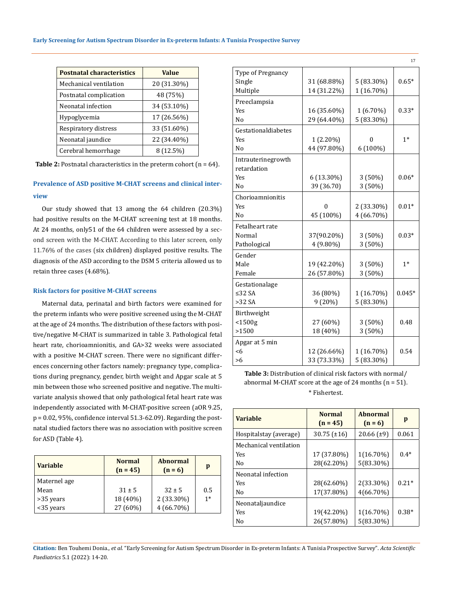| <b>Postnatal characteristics</b> | <b>Value</b> |
|----------------------------------|--------------|
| Mechanical ventilation           | 20 (31.30%)  |
| Postnatal complication           | 48 (75%)     |
| Neonatal infection               | 34 (53.10%)  |
| Hypoglycemia                     | 17 (26.56%)  |
| Respiratory distress             | 33 (51.60%)  |
| Neonatal jaundice                | 22 (34.40%)  |
| Cerebral hemorrhage              | 8 (12.5%)    |

**Table 2:** Postnatal characteristics in the preterm cohort (n = 64).

## **Prevalence of ASD positive M-CHAT screens and clinical interview**

Our study showed that 13 among the 64 children (20.3%) had positive results on the M-CHAT screening test at 18 months. At 24 months, only51 of the 64 children were assessed by a second screen with the M-CHAT. According to this later screen, only 11.76% of the cases (six children) displayed positive results. The diagnosis of the ASD according to the DSM 5 criteria allowed us to retain three cases (4.68%).

## **Risk factors for positive M-CHAT screens**

Maternal data, perinatal and birth factors were examined for the preterm infants who were positive screened using the M-CHAT at the age of 24 months. The distribution of these factors with positive/negative M-CHAT is summarized in table 3. Pathological fetal heart rate, chorioamnionitis, and GA>32 weeks were associated with a positive M-CHAT screen. There were no significant differences concerning other factors namely: pregnancy type, complications during pregnancy, gender, birth weight and Apgar scale at 5 min between those who screened positive and negative. The multivariate analysis showed that only pathological fetal heart rate was independently associated with M-CHAT-positive screen (aOR 9.25,  $p = 0.02$ , 95%, confidence interval 51.3-62.09). Regarding the postnatal studied factors there was no association with positive screen for ASD (Table 4).

| <b>Variable</b> | <b>Normal</b><br>$(n = 45)$ | <b>Abnormal</b><br>$(n=6)$ | p    |
|-----------------|-----------------------------|----------------------------|------|
| Maternel age    |                             |                            |      |
| Mean            | $31 \pm 5$                  | $32 \pm 5$                 | 0.5  |
| >35 years       | 18 (40%)                    | 2 (33.30%)                 | $1*$ |
| <35 years       | 27 (60%)                    | $4(66.70\%)$               |      |

| Type of Pregnancy   |             |            |          |
|---------------------|-------------|------------|----------|
| Single              | 31 (68.88%) | 5 (83.30%) | $0.65*$  |
| Multiple            | 14 (31.22%) | 1 (16.70%) |          |
| Preeclampsia        |             |            |          |
| <b>Yes</b>          | 16 (35.60%) | 1 (6.70%)  | $0.33*$  |
| N <sub>o</sub>      | 29 (64.40%) | 5 (83.30%) |          |
| Gestationaldiabetes |             |            |          |
| Yes                 | 1 (2.20%)   | 0          | $1*$     |
| No                  | 44 (97.80%) | 6 (100%)   |          |
| Intrauterinegrowth  |             |            |          |
| retardation         |             |            |          |
| <b>Yes</b>          | 6 (13.30%)  | 3(50%)     | $0.06*$  |
| N <sub>0</sub>      | 39 (36.70)  | 3 (50%)    |          |
| Chorioamnionitis    |             |            |          |
| Yes                 | 0           | 2 (33.30%) | $0.01*$  |
| N <sub>o</sub>      | 45 (100%)   | 4 (66.70%) |          |
| Fetalheart rate     |             |            |          |
| Normal              | 37(90.20%)  | 3 (50%)    | $0.03*$  |
| Pathological        | 4 (9.80%)   | 3 (50%)    |          |
| Gender              |             |            |          |
| Male                | 19 (42.20%) | 3(50%)     | $1*$     |
| Female              | 26 (57.80%) | 3 (50%)    |          |
| Gestationalage      |             |            |          |
| ≤32 $SA$            | 36 (80%)    | 1 (16.70%) | $0.045*$ |
| $>32$ SA            | 9(20%)      | 5 (83.30%) |          |
| Birthweight         |             |            |          |
| $<$ 1500g           | 27 (60%)    | 3(50%)     | 0.48     |
| >1500               | 18 (40%)    | 3 (50%)    |          |
| Apgar at 5 min      |             |            |          |
| <6                  | 12 (26.66%) | 1 (16.70%) | 0.54     |
| >6                  | 33 (73.33%) | 5 (83.30%) |          |

17

**Table 3:** Distribution of clinical risk factors with normal/ abnormal M-CHAT score at the age of 24 months  $(n = 51)$ . \* Fishertest.

| <b>Variable</b>        | <b>Normal</b><br>$(n = 45)$ | <b>Abnormal</b><br>$(n=6)$ | p       |
|------------------------|-----------------------------|----------------------------|---------|
| Hospitalstay (average) | $30.75$ ( $\pm 16$ )        | $20.66$ ( $\pm$ 9)         | 0.061   |
| Mechanical ventilation |                             |                            |         |
| Yes                    | 17 (37.80%)                 | 1(16.70%)                  | $0.4*$  |
| No                     | 28(62.20%)                  | 5(83.30%)                  |         |
| Neonatal infection     |                             |                            |         |
| Yes                    | 28(62.60%)                  | 2(33.30%)                  | $0.21*$ |
| No                     | 17(37.80%)                  | 4(66.70%)                  |         |
| Neonataljaundice       |                             |                            |         |
| <b>Yes</b>             | 19(42.20%)                  | 1(16.70%)                  | $0.38*$ |
| N <sub>0</sub>         | 26(57.80%)                  | 5(83.30%)                  |         |

**Citation:** Ben Touhemi Donia*., et al.* "Early Screening for Autism Spectrum Disorder in Ex-preterm Infants: A Tunisia Prospective Survey". *Acta Scientific Paediatrics* 5.1 (2022): 14-20.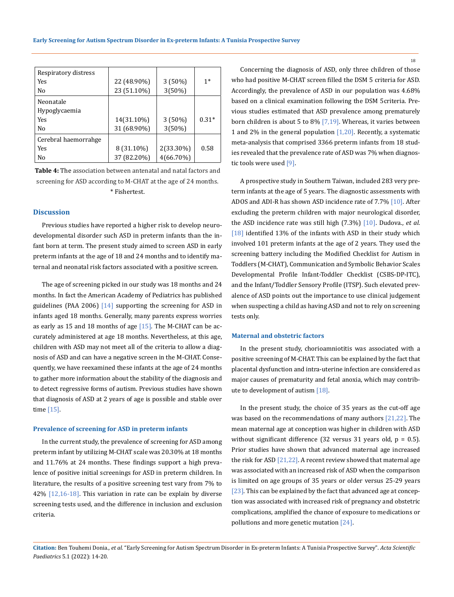| Respiratory distress |             |           |         |
|----------------------|-------------|-----------|---------|
| Yes                  | 22 (48.90%) | $3(50\%)$ | $1*$    |
| No                   | 23 (51.10%) | 3(50%)    |         |
| Neonatale            |             |           |         |
| Hypoglycaemia        |             |           |         |
| <b>Yes</b>           | 14(31.10%)  | $3(50\%)$ | $0.31*$ |
| No                   | 31 (68.90%) | 3(50%)    |         |
| Cerebral haemorrahge |             |           |         |
| <b>Yes</b>           | 8 (31.10%)  | 2(33.30%) | 0.58    |
| Nο                   | 37 (82.20%) | 4(66.70%) |         |

**Table 4:** The association between antenatal and natal factors and screening for ASD according to M-CHAT at the age of 24 months. \* Fishertest.

### **Discussion**

Previous studies have reported a higher risk to develop neurodevelopmental disorder such ASD in preterm infants than the infant born at term. The present study aimed to screen ASD in early preterm infants at the age of 18 and 24 months and to identify maternal and neonatal risk factors associated with a positive screen.

The age of screening picked in our study was 18 months and 24 months. In fact the American Academy of Pediatrics has published guidelines (PAA 2006)  $\lceil 14 \rceil$  supporting the screening for ASD in infants aged 18 months. Generally, many parents express worries as early as 15 and 18 months of age  $[15]$ . The M-CHAT can be accurately administered at age 18 months. Nevertheless, at this age, children with ASD may not meet all of the criteria to allow a diagnosis of ASD and can have a negative screen in the M-CHAT. Consequently, we have reexamined these infants at the age of 24 months to gather more information about the stability of the diagnosis and to detect regressive forms of autism. Previous studies have shown that diagnosis of ASD at 2 years of age is possible and stable over time [15].

#### **Prevalence of screening for ASD in preterm infants**

In the current study, the prevalence of screening for ASD among preterm infant by utilizing M-CHAT scale was 20.30% at 18 months and 11.76% at 24 months. These findings support a high prevalence of positive initial screenings for ASD in preterm children. In literature, the results of a positive screening test vary from 7% to  $42\%$  [12,16-18]. This variation in rate can be explain by diverse screening tests used, and the difference in inclusion and exclusion criteria.

Concerning the diagnosis of ASD, only three children of those who had positive M-CHAT screen filled the DSM 5 criteria for ASD. Accordingly, the prevalence of ASD in our population was 4.68% based on a clinical examination following the DSM 5criteria. Previous studies estimated that ASD prevalence among prematurely born children is about 5 to 8%  $[7,19]$ . Whereas, it varies between 1 and 2% in the general population  $[1,20]$ . Recently, a systematic meta-analysis that comprised 3366 preterm infants from 18 studies revealed that the prevalence rate of ASD was 7% when diagnostic tools were used [9].

A prospective study in Southern Taiwan, included 283 very preterm infants at the age of 5 years. The diagnostic assessments with ADOS and ADI-R has shown ASD incidence rate of 7.7% [10]. After excluding the preterm children with major neurological disorder, the ASD incidence rate was still high (7.3%) [10]. Dudova., *et al*. [18] identified 13% of the infants with ASD in their study which involved 101 preterm infants at the age of 2 years. They used the screening battery including the Modified Checklist for Autism in Toddlers (M-CHAT), Communication and Symbolic Behavior Scales Developmental Profile Infant-Toddler Checklist (CSBS-DP-ITC), and the Infant/Toddler Sensory Profile (ITSP). Such elevated prevalence of ASD points out the importance to use clinical judgement when suspecting a child as having ASD and not to rely on screening tests only.

#### **Maternal and obstetric factors**

In the present study, chorioamniotitis was associated with a positive screening of M-CHAT. This can be explained by the fact that placental dysfunction and intra-uterine infection are considered as major causes of prematurity and fetal anoxia, which may contribute to development of autism [18].

In the present study, the choice of 35 years as the cut-off age was based on the recommendations of many authors [21,22]. The mean maternal age at conception was higher in children with ASD without significant difference (32 versus 31 years old,  $p = 0.5$ ). Prior studies have shown that advanced maternal age increased the risk for ASD [21,22]. A recent review showed that maternal age was associated with an increased risk of ASD when the comparison is limited on age groups of 35 years or older versus 25-29 years [ $23$ ]. This can be explained by the fact that advanced age at conception was associated with increased risk of pregnancy and obstetric complications, amplified the chance of exposure to medications or pollutions and more genetic mutation [24].

**Citation:** Ben Touhemi Donia*., et al.* "Early Screening for Autism Spectrum Disorder in Ex-preterm Infants: A Tunisia Prospective Survey". *Acta Scientific Paediatrics* 5.1 (2022): 14-20.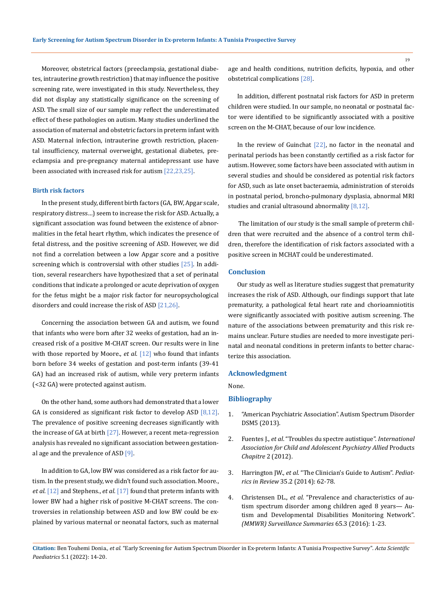Moreover, obstetrical factors (preeclampsia, gestational diabetes, intrauterine growth restriction) that may influence the positive screening rate, were investigated in this study. Nevertheless, they did not display any statistically significance on the screening of ASD. The small size of our sample may reflect the underestimated effect of these pathologies on autism. Many studies underlined the association of maternal and obstetric factors in preterm infant with ASD. Maternal infection, intrauterine growth restriction, placental insufficiency, maternal overweight, gestational diabetes, preeclampsia and pre-pregnancy maternal antidepressant use have been associated with increased risk for autism [22,23,25].

### **Birth risk factors**

In the present study, different birth factors (GA, BW, Apgar scale, respiratory distress…) seem to increase the risk for ASD. Actually, a significant association was found between the existence of abnormalities in the fetal heart rhythm, which indicates the presence of fetal distress, and the positive screening of ASD. However, we did not find a correlation between a low Apgar score and a positive screening which is controversial with other studies [25]. In addition, several researchers have hypothesized that a set of perinatal conditions that indicate a prolonged or acute deprivation of oxygen for the fetus might be a major risk factor for neuropsychological disorders and could increase the risk of ASD [21,26].

Concerning the association between GA and autism, we found that infants who were born after 32 weeks of gestation, had an increased risk of a positive M-CHAT screen. Our results were in line with those reported by Moore., *et al*. [12] who found that infants born before 34 weeks of gestation and post-term infants (39-41 GA) had an increased risk of autism, while very preterm infants (<32 GA) were protected against autism.

On the other hand, some authors had demonstrated that a lower GA is considered as significant risk factor to develop ASD [8,12]. The prevalence of positive screening decreases significantly with the increase of GA at birth  $[27]$ . However, a recent meta-regression analysis has revealed no significant association between gestational age and the prevalence of ASD  $[9]$ .

In addition to GA, low BW was considered as a risk factor for autism. In the present study, we didn't found such association. Moore., *et al*. [12] and Stephens., *et al*. [17] found that preterm infants with lower BW had a higher risk of positive M-CHAT screens. The controversies in relationship between ASD and low BW could be explained by various maternal or neonatal factors, such as maternal age and health conditions, nutrition deficits, hypoxia, and other obstetrical complications [28].

In addition, different postnatal risk factors for ASD in preterm children were studied. In our sample, no neonatal or postnatal factor were identified to be significantly associated with a positive screen on the M-CHAT, because of our low incidence.

In the review of Guinchat  $[22]$ , no factor in the neonatal and perinatal periods has been constantly certified as a risk factor for autism. However, some factors have been associated with autism in several studies and should be considered as potential risk factors for ASD, such as late onset bacteraemia, administration of steroids in postnatal period, broncho-pulmonary dysplasia, abnormal MRI studies and cranial ultrasound abnormality [8,12].

 The limitation of our study is the small sample of preterm children that were recruited and the absence of a control term children, therefore the identification of risk factors associated with a positive screen in MCHAT could be underestimated.

### **Conclusion**

Our study as well as literature studies suggest that prematurity increases the risk of ASD. Although, our findings support that late prematurity, a pathological fetal heart rate and chorioamniotitis were significantly associated with positive autism screening. The nature of the associations between prematurity and this risk remains unclear. Future studies are needed to more investigate perinatal and neonatal conditions in preterm infants to better characterize this association.

## **Acknowledgment**

None.

### **Bibliography**

- 1. "American Psychiatric Association". Autism Spectrum Disorder DSM5 (2013).
- 2. Fuentes J., *et al*[. "Troubles du spectre autistique".](https://cenop.ca/troubles-comportement/tsa-trouble-spectre-autisme.php) *International [Association for Child and Adolescent Psychiatry Allied](https://cenop.ca/troubles-comportement/tsa-trouble-spectre-autisme.php)* Products *Chapitre* [2 \(2012\).](https://cenop.ca/troubles-comportement/tsa-trouble-spectre-autisme.php)
- 3. Harrington JW., *et al*[. "The Clinician's Guide to Autism".](https://pubmed.ncbi.nlm.nih.gov/24488830/) *Pediatrics in Review* [35.2 \(2014\): 62-78.](https://pubmed.ncbi.nlm.nih.gov/24488830/)
- 4. Christensen DL., *et al*[. "Prevalence and characteristics of au](https://pubmed.ncbi.nlm.nih.gov/30439868/)[tism spectrum disorder among children aged 8 years— Au](https://pubmed.ncbi.nlm.nih.gov/30439868/)[tism and Developmental Disabilities Monitoring Network".](https://pubmed.ncbi.nlm.nih.gov/30439868/)  *[\(MMWR\) Surveillance Summaries](https://pubmed.ncbi.nlm.nih.gov/30439868/)* 65.3 (2016): 1-23.

**Citation:** Ben Touhemi Donia*., et al.* "Early Screening for Autism Spectrum Disorder in Ex-preterm Infants: A Tunisia Prospective Survey". *Acta Scientific Paediatrics* 5.1 (2022): 14-20.